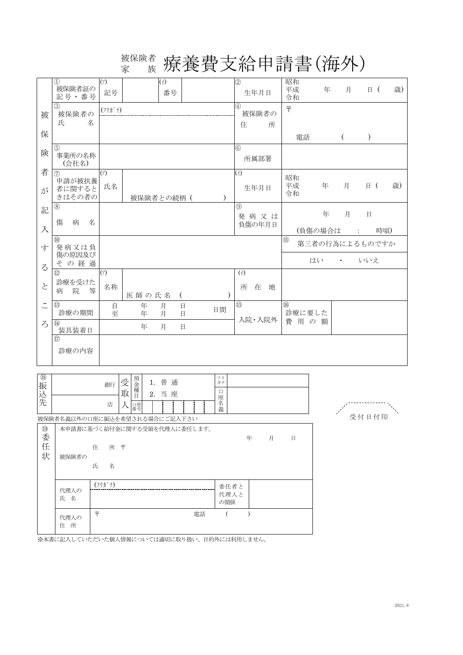## $\mathcal{L}_{\hat{\mathbb{X}}}^{k\in\mathbb{R}^{d}}$  療養費支給申請書(海外) 家 族

|                       | $\textcircled{1}$<br>被保険者証の<br>記号·番号        | (7)<br>記号                             |           | $(\wedge)$<br>番号 |          |           | $^{\circledR}$<br>生年月日                    | 昭和<br>平成<br>令和                 | 年              | 月         |                 | $\Box$ | 歳) |
|-----------------------|---------------------------------------------|---------------------------------------|-----------|------------------|----------|-----------|-------------------------------------------|--------------------------------|----------------|-----------|-----------------|--------|----|
| 被                     | (3)<br>被保険者の<br>氏<br>名                      | $(7!)$ $\hbar$ <sup>*</sup> $\hbar$ ) |           |                  |          |           | 4<br>被保険者の<br>住<br>所                      | $\overline{\tau}$              |                |           |                 |        |    |
| 保                     |                                             |                                       |           |                  |          |           |                                           | 電話                             |                | $\left($  | $\mathcal{E}$   |        |    |
| 険                     | 5<br>事業所の名称<br>(会社名)                        |                                       |           |                  |          |           | (6)<br>所属部署                               |                                |                |           |                 |        |    |
| 者<br>が                | (7)<br>申請が被扶養<br>者に関すると<br>きはその者の           | (7)<br>氏名                             | 被保険者との続柄( |                  |          | $\lambda$ | $\left(\frac{1}{2}\right)$<br>生年月日        | 昭和<br>平成<br>令和                 | 年              | 月         | 目 (             |        | 歳) |
| 記<br>入                | $^{\circledR}$<br>傷<br>病<br>名               |                                       |           |                  |          |           | (9)<br>発病又は<br>負傷の年月日                     |                                | 年<br>(負傷の場合は   | 月         | $\Box$<br>$\pm$ | 時頃)    |    |
| 寸                     | $\circledR$<br>発病又は負                        |                                       |           |                  |          |           |                                           | $\textcircled{\scriptsize{1}}$ | 第三者の行為によるものですか |           |                 |        |    |
| $\zeta$               | 傷の原因及び<br>その経過                              |                                       |           |                  |          |           |                                           |                                | はい             | $\bullet$ | いいえ             |        |    |
| $\overleftarrow{c}$   | $\textcircled{12}$<br>診療を受けた<br>院<br>等<br>病 | (7)<br>名称                             | 医師の氏名     |                  | $\left($ |           | $\left(\frac{1}{2}\right)$<br>在<br>所<br>地 |                                |                |           |                 |        |    |
| $\tilde{\phantom{0}}$ | $\circled{1}$<br>診療の期間                      | 自<br>至                                | 年<br>年    | 月<br>月           | 日<br>日   | 日間        | $\overline{\mathbb{G}}$                   | $\circledR$                    | 診療に要した         |           |                 |        |    |
| $\zeta$               | $\overline{14}$<br>装具装着日                    |                                       | 年         | 月                | 日        |           | 入院・入院外                                    |                                | 費用の額           |           |                 |        |    |
|                       | $\left( \overline{17}\right)$<br>診療の内容      |                                       |           |                  |          |           |                                           |                                |                |           |                 |        |    |

| $^{\circledR}$<br>振込先           |                                                               | 銀行<br>店                               | 受<br>取 | 預金種目<br>口座<br>番号 | 1. | 普<br>2. 当座 | 通 |    | フリ<br>ガナ<br>目<br>座名義 |   |   |   | .<br>B |  |
|---------------------------------|---------------------------------------------------------------|---------------------------------------|--------|------------------|----|------------|---|----|----------------------|---|---|---|--------|--|
| $\textcircled{\scriptsize{19}}$ | 被保険者名義以外の口座に振込を希望される場合にご記入下さい<br>本申請書に基づく給付金に関する受領を代理人に委任します。 |                                       |        |                  |    |            |   |    |                      |   |   |   |        |  |
| 委任<br>状                         | 被保険者の                                                         | 住<br>所〒<br>氏<br>名                     |        |                  |    |            |   |    |                      | 年 | 月 | 日 |        |  |
|                                 | 代理人の<br>氏 名                                                   | $(7!)$ $\hbar$ <sup>*</sup> $\hbar$ ) |        |                  |    |            |   |    | 委任者と<br>代理人と<br>の関係  |   |   |   |        |  |
|                                 | 代理人の<br>所<br>住                                                | 두                                     |        |                  |    |            |   | 電話 |                      |   |   |   |        |  |



※本書に記入していただいた個人情報については適切に取り扱い、目的外には利用しません。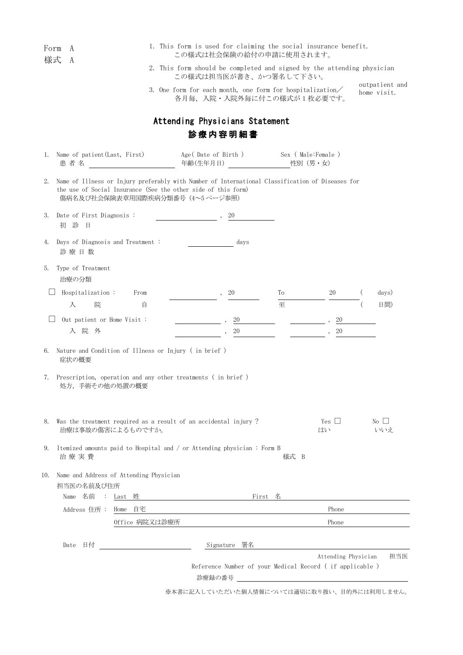|     | Form<br>A<br>様式                          |                                                                                                                                                                                                      | 1. This form is used for claiming the social insurance benefit.<br>この様式は社会保険の給付の申請に使用されます。       |      |                     |                               |
|-----|------------------------------------------|------------------------------------------------------------------------------------------------------------------------------------------------------------------------------------------------------|--------------------------------------------------------------------------------------------------|------|---------------------|-------------------------------|
|     | A                                        |                                                                                                                                                                                                      | 2. This form should be completed and signed by the attending physician<br>この様式は担当医が書き、かつ署名して下さい。 |      |                     |                               |
|     |                                          |                                                                                                                                                                                                      | 3. One form for each month, one form for hospitalization/<br>各月毎,入院·入院外毎に付この様式が1枚必要です。           |      |                     | outpatient and<br>home visit. |
|     |                                          |                                                                                                                                                                                                      | Attending Physicians Statement                                                                   |      |                     |                               |
|     |                                          |                                                                                                                                                                                                      | 診療内容明細書                                                                                          |      |                     |                               |
|     | 1. Name of patient (Last, First)<br>患者名  |                                                                                                                                                                                                      | Age(Date of Birth) Sex (Male:Female)                                                             |      |                     |                               |
| 2.  |                                          | Name of Illness or Injury preferably with Number of International Classification of Diseases for<br>the use of Social Insurance (See the other side of this form)<br>傷病名及び社会保険表章用国際疾病分類番号(4~5 ページ参照) |                                                                                                  |      |                     |                               |
| 3.  | Date of First Diagnosis:<br>初診<br>一日     |                                                                                                                                                                                                      | 20                                                                                               |      |                     |                               |
| 4.  | Days of Diagnosis and Treatment:<br>診療日数 |                                                                                                                                                                                                      | days                                                                                             |      |                     |                               |
| 5.  | Type of Treatment<br>治療の分類               |                                                                                                                                                                                                      |                                                                                                  |      |                     |                               |
|     | Hospitalization:                         | From                                                                                                                                                                                                 | 20                                                                                               | Тo   | 20                  | days)                         |
|     | 入<br>院                                   | 自                                                                                                                                                                                                    |                                                                                                  | 至    |                     | 日間)                           |
|     | Out patient or Home Visit :              |                                                                                                                                                                                                      | 20                                                                                               |      | 20                  |                               |
|     | 入院外                                      |                                                                                                                                                                                                      | 20                                                                                               |      | 20                  |                               |
| 6.  | 症状の概要                                    | Nature and Condition of Illness or Injury (in brief)                                                                                                                                                 |                                                                                                  |      |                     |                               |
| 7.  | 処方、手術その他の処置の概要                           | Prescription, operation and any other treatments (in brief)                                                                                                                                          |                                                                                                  |      |                     |                               |
| 8.  |                                          | Was the treatment required as a result of an accidental injury?<br>治療は事故の傷害によるものですか。                                                                                                                 |                                                                                                  |      | Yes $\Box$<br>はい    | $\rm{No}$    <br>いいえ          |
| 9.  | 治療実費                                     | Itemized amounts paid to Hospital and / or Attending physician: Form B                                                                                                                               |                                                                                                  | 様式 B |                     |                               |
| 10. | 担当医の名前及び住所                               | Name and Address of Attending Physician                                                                                                                                                              |                                                                                                  |      |                     |                               |
|     | Name 名前                                  | : Last 姓                                                                                                                                                                                             |                                                                                                  |      |                     |                               |
|     | Address 住所: Home 自宅                      |                                                                                                                                                                                                      |                                                                                                  |      | Phone               |                               |
|     |                                          | Office 病院又は診療所                                                                                                                                                                                       |                                                                                                  |      | Phone               |                               |
|     | 日付<br>Date                               |                                                                                                                                                                                                      | Signature 署名                                                                                     |      |                     |                               |
|     |                                          |                                                                                                                                                                                                      | Reference Number of your Medical Record (if applicable)<br>診療録の番号                                |      | Attending Physician | 担当医                           |
|     |                                          |                                                                                                                                                                                                      | ※本書に記入していただいた個人情報については適切に取り扱い、目的外には利用しません。                                                       |      |                     |                               |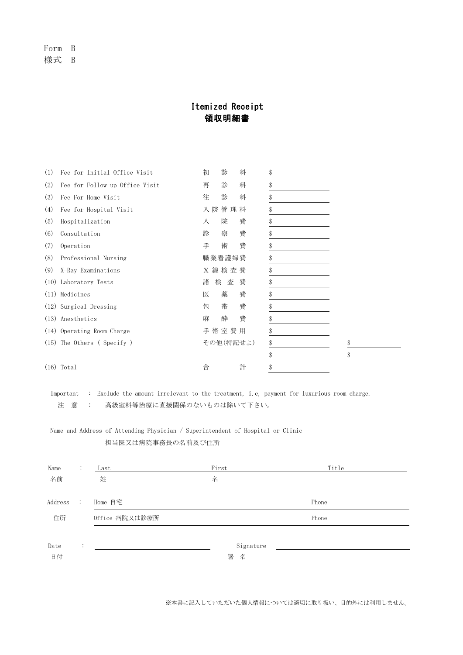Form B 様式 B

## Itemized Receipt 領収明細書

| (1) | Fee for Initial Office Visit   | 初      | 診         | 料 | \$       |
|-----|--------------------------------|--------|-----------|---|----------|
| (2) | Fee for Follow-up Office Visit | 再      | 診         | 料 | \$       |
| (3) | Fee For Home Visit             | 往      | 診         | 料 | \$       |
| (4) | Fee for Hospital Visit         |        | 入院管理料     |   |          |
| (5) | Hospitalization                | 入      | 院         | 費 | \$       |
| (6) | Consultation                   | 診      | 察         | 費 | \$       |
| (7) | Operation                      | 手      | 術         | 費 | \$       |
| (8) | Professional Nursing           |        | 職業看護婦費    |   | \$       |
| (9) | X-Ray Examinations             |        | X 線検 査 費  |   | \$       |
|     | (10) Laboratory Tests          | 検<br>諸 | 査         | 費 | \$       |
|     | (11) Medicines                 | 医      | 薬         | 費 | \$       |
|     | (12) Surgical Dressing         | 包      | 帯         | 費 | \$       |
|     | (13) Anesthetics               | 麻      | 酔         | 費 | \$       |
|     | (14) Operating Room Charge     |        | 手術室費用     |   | \$       |
|     | $(15)$ The Others (Specify)    |        | その他(特記せよ) |   | \$<br>\$ |
|     |                                |        |           |   | \$<br>\$ |
|     | $(16)$ Total                   | 合      |           | 計 | \$       |
|     |                                |        |           |   |          |

Important : Exclude the amount irrelevant to the treatment, i.e, payment for luxurious room charge. 注 意 : 高級室料等治療に直接関係のないものは除いて下さい。

Name and Address of Attending Physician / Superintendent of Hospital or Clinic 担当医又は病院事務長の名前及び住所

| Name    | ÷              | Last           | First     | Title |
|---------|----------------|----------------|-----------|-------|
| 名前      |                | 姓              | 名         |       |
| Address | $\mathbb{R}^2$ | Home 自宅        |           | Phone |
| 住所      |                | Office 病院又は診療所 |           | Phone |
|         |                |                |           |       |
| Date    | $\ddot{\cdot}$ |                | Signature |       |
| 日付      |                |                | 署<br>名    |       |

※本書に記入していただいた個人情報については適切に取り扱い、目的外には利用しません。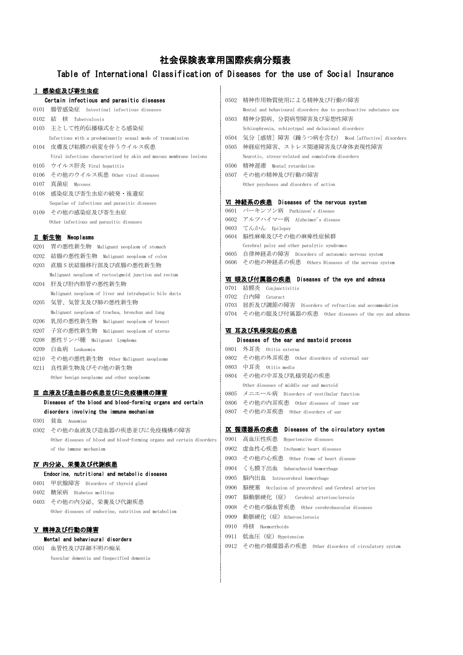# 社会保険表章用国際疾病分類表

## Table of International Classification of Diseases for the use of Social Insurance

## 感染症及び寄生虫症

|              | Ⅰ 感染症及び寄生虫症                                                            |      |                                                                                                |
|--------------|------------------------------------------------------------------------|------|------------------------------------------------------------------------------------------------|
|              | Certain infectious and parasitic diseases                              | 0502 | 精神作用物質使用による精神及び行動の障害                                                                           |
| 0101         | 腸管感染症 Intestinal infectious diseases                                   |      | Mental and behavioural disorders due to psychoactive substance use                             |
| 0102         | 結 核 Tuberculosis                                                       | 0503 | 精神分裂病、分裂病型障害及び妄想性障害                                                                            |
| 0103         | 主として性的伝播様式をとる感染症                                                       |      | Schizophrenia, schizotypal and delusional disorders                                            |
|              | Infections with a predominantly sexual mode of transmission            | 0504 | 気分[感情]障害(躁うつ病を含む) Mood [affective] disorders                                                   |
| 0104         | 皮膚及び粘膜の病変を伴うウイルス疾患                                                     | 0505 | 神経症性障害、ストレス関連障害及び身体表現性障害                                                                       |
|              | Viral infections characterized by skin and mucous membrane lesions     |      | Neurotic, stress-related and somatoform disorders                                              |
| 0105         | ウイルス肝炎 Viral hepatitis                                                 | 0506 | 精神遅滞 Mental retardation                                                                        |
| 0106         | その他のウイルス疾患 Other viral diseases                                        | 0507 | その他の精神及び行動の障害                                                                                  |
| 0107         | 真菌症 Mycoses                                                            |      | Other psychoses and disorders of action                                                        |
| 0108         | 感染症及び寄生虫症の続発・後遺症                                                       |      |                                                                                                |
|              | Sequelae of infectious and parasitic diseases                          |      | VI 神経系の疾患 Diseases of the nervous system                                                       |
| 0109         | その他の感染症及び寄生虫症                                                          |      | 0601 パーキンソン病 Parkinson's disease                                                               |
|              | Other infectious and parasitic diseases                                | 0602 | アルツハイマー病 Alzheimer's disease                                                                   |
|              |                                                                        | 0603 | てんかん Epilepsy                                                                                  |
|              | Ⅱ 新生物 Neoplasms                                                        | 0604 | 脳性麻痺及びその他の麻痺性症候群                                                                               |
| 0201         | 胃の悪性新生物 Malignant neoplasm of stomach                                  | 0605 | Cerebral palsy and other paralytic syndromes<br>自律神経系の障害 Disorders of autonomic nervous system |
| 0202         | 結腸の悪性新生物 Malignant neoplasm of colon                                   | 0606 | その他の神経系の疾患 Others Diseases of the nervous system                                               |
| 0203         | 直腸S状結腸移行部及び直腸の悪性新生物                                                    |      |                                                                                                |
|              | Malignant neoplasm of rectosigmoid junction and rectum                 |      | VII 眼及び付属器の疾患 Diseases of the eye and adnexa                                                   |
| 0204         | 肝及び肝内胆管の悪性新生物                                                          | 0701 | 結膜炎 Conjunctivitis                                                                             |
|              | Malignant neoplasm of liver and intrahepatic bile ducts                | 0702 | 白内障 Cataract                                                                                   |
| 0205         | 気管、気管支及び肺の悪性新生物                                                        | 0703 | 屈折及び調節の障害 Disorders of refraction and accommodation                                            |
|              | Malignant neoplasm of trachea, bronchus and lung                       | 0704 | その他の眼及び付属器の疾患 Other diseases of the eye and adnexa                                             |
| 0206         | 乳房の悪性新生物 Malignant neoplasm of breast                                  |      |                                                                                                |
| 0207         | 子宮の悪性新生物 Malignant neoplasm of uterus                                  |      | Ⅵ 耳及び乳様突起の疾患<br>Diseases of the ear and mastoid process                                        |
| 0208<br>0209 | 悪性リンパ腫 Malignant Lymphoma<br>白血病 Leukaemia                             |      | 0801 外耳炎 Otitis externa                                                                        |
| 0210         | その他の悪性新生物 Other Malignant neoplasms                                    |      | 0802 その他の外耳疾患 0ther disorders of external ear                                                  |
| 0211         | 良性新生物及びその他の新生物                                                         |      | 0803 中耳炎 Otitis media                                                                          |
|              | Other benign neoplasms and other neoplasms                             |      | 0804 その他の中耳及び乳様突起の疾患                                                                           |
|              |                                                                        |      | Other diseases of middle ear and mastoid                                                       |
|              | Ⅲ 血液及び造血器の疾患並びに免疫機構の障害                                                 | 0805 | メニエール病 Disorders of vestibular function                                                        |
|              | Diseases of the blood and blood-forming organs and certain             | 0806 | その他の内耳疾患 Other diseases of inner ear                                                           |
|              | disorders involving the immune mechanism                               |      | 0807 その他の耳疾患 Other disorders of ear                                                            |
|              | 0301 貧血 Anaemias                                                       |      |                                                                                                |
|              | 0302 その他の血液及び造血器の疾患並びに免疫機構の障害                                          |      | IX 循環器系の疾患 Diseases of the circulatory system                                                  |
|              | Other diseases of blood and blood-forming organs and certain disorders | 0901 | 高血圧性疾患 Hypertensive diseases                                                                   |
|              | of the immune mechanism                                                | 0902 | 虚血性心疾患 Ischaemic heart diseases                                                                |
|              |                                                                        | 0903 | その他の心疾患 0ther froms of heart disease                                                           |
|              | <u>Ⅳ 内分泌、栄養及び代謝疾患</u>                                                  | 0904 | くも膜下出血 Subarachnoid hemorrhage                                                                 |
|              | Endocrine, nutritional and metabolic diseases                          | 0905 | 脳内出血 Intracerebral hemorrhage                                                                  |
| 0401         | 甲状腺障害 Disorders of thyroid gland                                       | 0906 | 脳梗塞 Occlusion of precerebral and Cerebral arteries                                             |
| 0402         | 糖尿病 Diabetes mellitus                                                  | 0907 | 脳動脈硬化 (症)<br>Cerebral arteriosclerosis                                                         |
|              | 0403 その他の内分泌、栄養及び代謝疾患                                                  | 0908 | その他の脳血管疾患 – 0ther cerebrobascular diseases                                                     |
|              | Other diseases of endocrine, nutrition and metabolism                  | 0909 | 動脈硬化(症)Atherosclerosis                                                                         |
|              |                                                                        | 0910 | 痔核 Haemorrhoids                                                                                |
|              | Ⅴ 精神及び行動の障害                                                            | 0911 | 低血圧 (症) Hypotension                                                                            |
|              | Mental and behavioural disorders<br>0501 血管性及び詳細不明の痴呆                  | 0912 | その他の循環器系の疾患 – Other disorders of circulatory system                                            |
|              |                                                                        |      |                                                                                                |

Vascular dementia and Unspecified dementia